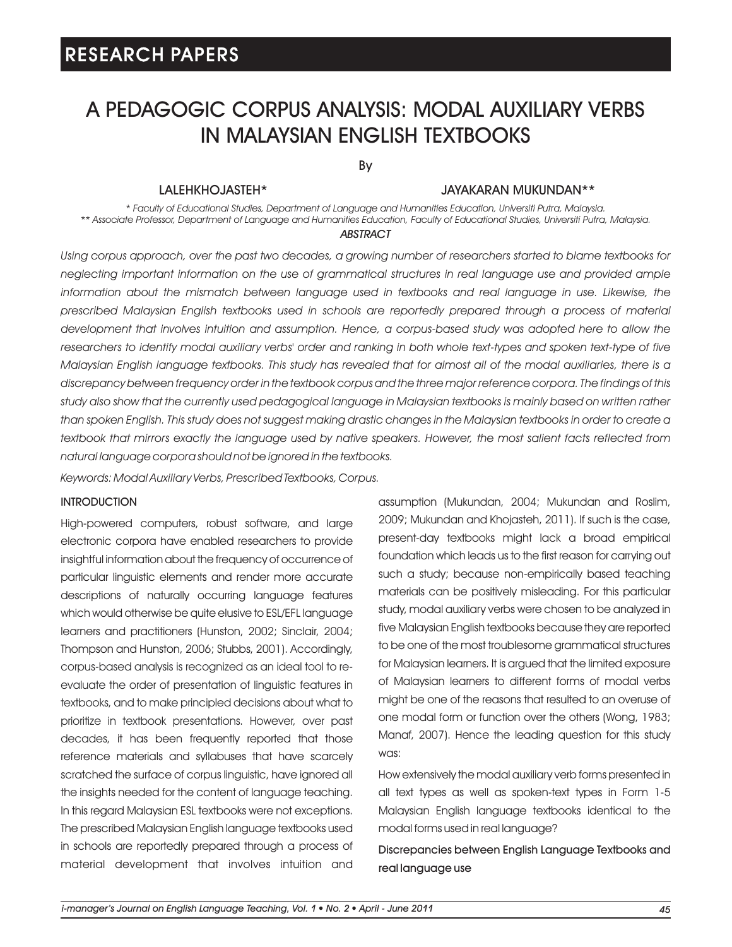# A PEDAGOGIC CORPUS ANALYSIS: MODAL AUXILIARY VERBS IN MALAYSIAN ENGLISH TEXTBOOKS

By

### LALEHKHOJASTEH\*

#### JAYAKARAN MUKUNDAN\*\*

*\* Faculty of Educational Studies, Department of Language and Humanities Education, Universiti Putra, Malaysia. \*\* Associate Professor, Department of Language and Humanities Education, Faculty of Educational Studies, Universiti Putra, Malaysia.*

### *ABSTRACT*

*Using corpus approach, over the past two decades, a growing number of researchers started to blame textbooks for neglecting important information on the use of grammatical structures in real language use and provided ample information about the mismatch between language used in textbooks and real language in use. Likewise, the prescribed Malaysian English textbooks used in schools are reportedly prepared through a process of material development that involves intuition and assumption. Hence, a corpus-based study was adopted here to allow the*  researchers to identify modal auxiliary verbs' order and ranking in both whole text-types and spoken text-type of five *Malaysian English language textbooks. This study has revealed that for almost all of the modal auxiliaries, there is a discrepancy between frequency order in the textbook corpus and the three major reference corpora. The findings of this*  study also show that the currently used pedagogical language in Malaysian textbooks is mainly based on written rather *than spoken English. This study does not suggest making drastic changes in the Malaysian textbooks in order to create a textbook that mirrors exactly the language used by native speakers. However, the most salient facts reflected from natural language corpora should not be ignored in the textbooks.*

*Keywords: Modal Auxiliary Verbs, Prescribed Textbooks, Corpus.*

#### **INTRODUCTION**

High-powered computers, robust software, and large electronic corpora have enabled researchers to provide insightful information about the frequency of occurrence of particular linguistic elements and render more accurate descriptions of naturally occurring language features which would otherwise be quite elusive to ESL/EFL language learners and practitioners (Hunston, 2002; Sinclair, 2004; Thompson and Hunston, 2006; Stubbs, 2001). Accordingly, decades, it has been frequently reported that those reference materials and syllabuses that have scarcely scratched the surface of corpus linguistic, have ignored all the insights needed for the content of language teaching. In this regard Malaysian ESL textbooks were not exceptions. The prescribed Malaysian English language textbooks used in schools are reportedly prepared through a process of material development that involves intuition and corpus-based analysis is recognized as an ideal tool to reevaluate the order of presentation of linguistic features in textbooks, and to make principled decisions about what to prioritize in textbook presentations. However, over past assumption (Mukundan, 2004; Mukundan and Roslim, 2009; Mukundan and Khojasteh, 2011). If such is the case, present-day textbooks might lack a broad empirical foundation which leads us to the first reason for carrying out such a study; because non-empirically based teaching materials can be positively misleading. For this particular study, modal auxiliary verbs were chosen to be analyzed in five Malaysian English textbooks because they are reported to be one of the most troublesome grammatical structures for Malaysian learners. It is argued that the limited exposure of Malaysian learners to different forms of modal verbs might be one of the reasons that resulted to an overuse of one modal form or function over the others (Wong, 1983; Manaf, 2007). Hence the leading question for this study was:

How extensively the modal auxiliary verb forms presented in all text types as well as spoken-text types in Form 1-5 Malaysian English language textbooks identical to the modal forms used in real language?

Discrepancies between English Language Textbooks and real language use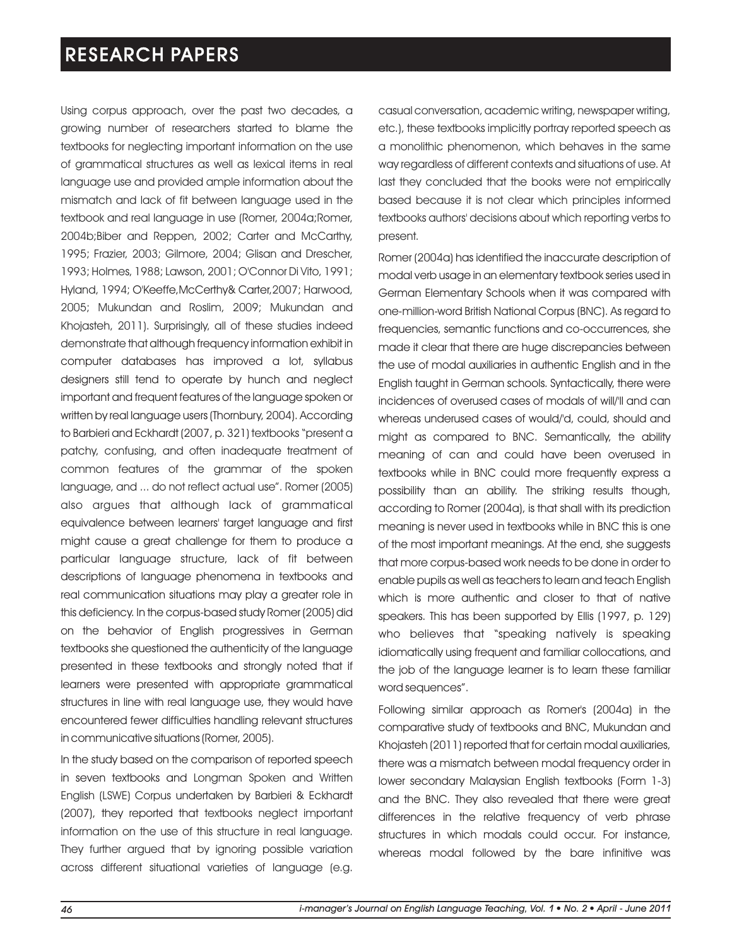Using corpus approach, over the past two decades, a growing number of researchers started to blame the textbooks for neglecting important information on the use of grammatical structures as well as lexical items in real language use and provided ample information about the mismatch and lack of fit between language used in the textbook and real language in use (Romer, 2004a;Romer, 2004b;Biber and Reppen, 2002; Carter and McCarthy, 1995; Frazier, 2003; Gilmore, 2004; Glisan and Drescher, 1993; Holmes, 1988; Lawson, 2001; O'Connor Di Vito, 1991; Hyland, 1994; O'Keeffe,McCerthy& Carter,2007; Harwood, 2005; Mukundan and Roslim, 2009; Mukundan and Khojasteh, 2011). Surprisingly, all of these studies indeed demonstrate that although frequency information exhibit in to Barbieri and Eckhardt (2007, p. 321) textbooks "present a patchy, confusing, and often inadequate treatment of common features of the grammar of the spoken language, and ... do not reflect actual use". Romer (2005) also argues that although lack of grammatical computer databases has improved a lot, syllabus designers still tend to operate by hunch and neglect important and frequent features of the language spoken or written by real language users (Thornbury, 2004). According equivalence between learners' target language and first might cause a great challenge for them to produce a particular language structure, lack of fit between descriptions of language phenomena in textbooks and real communication situations may play a greater role in this deficiency. In the corpus-based study Romer (2005) did on the behavior of English progressives in German textbooks she questioned the authenticity of the language presented in these textbooks and strongly noted that if learners were presented with appropriate grammatical structures in line with real language use, they would have encountered fewer difficulties handling relevant structures in communicative situations (Romer, 2005).

in seven textbooks and Longman Spoken and Written English (LSWE) Corpus undertaken by Barbieri & Eckhardt (2007), they reported that textbooks neglect important information on the use of this structure in real language. They further argued that by ignoring possible variation across different situational varieties of language (e.g. In the study based on the comparison of reported speech casual conversation, academic writing, newspaper writing, etc.), these textbooks implicitly portray reported speech as a monolithic phenomenon, which behaves in the same way regardless of different contexts and situations of use. At last they concluded that the books were not empirically based because it is not clear which principles informed textbooks authors' decisions about which reporting verbs to present.

Romer (2004a) has identified the inaccurate description of modal verb usage in an elementary textbook series used in German Elementary Schools when it was compared with one-million-word British National Corpus (BNC). As regard to frequencies, semantic functions and co-occurrences, she made it clear that there are huge discrepancies between the use of modal auxiliaries in authentic English and in the English taught in German schools. Syntactically, there were incidences of overused cases of modals of will/'ll and can whereas underused cases of would/'d, could, should and might as compared to BNC. Semantically, the ability meaning of can and could have been overused in textbooks while in BNC could more frequently express a possibility than an ability. The striking results though, according to Romer (2004a), is that shall with its prediction meaning is never used in textbooks while in BNC this is one of the most important meanings. At the end, she suggests that more corpus-based work needs to be done in order to enable pupils as well as teachers to learn and teach English which is more authentic and closer to that of native speakers. This has been supported by Ellis (1997, p. 129) who believes that "speaking natively is speaking idiomatically using frequent and familiar collocations, and the job of the language learner is to learn these familiar word sequences".

Following similar approach as Romer's (2004a) in the comparative study of textbooks and BNC, Mukundan and Khojasteh (2011) reported that for certain modal auxiliaries, there was a mismatch between modal frequency order in lower secondary Malaysian English textbooks (Form 1-3) and the BNC. They also revealed that there were great differences in the relative frequency of verb phrase structures in which modals could occur. For instance, whereas modal followed by the bare infinitive was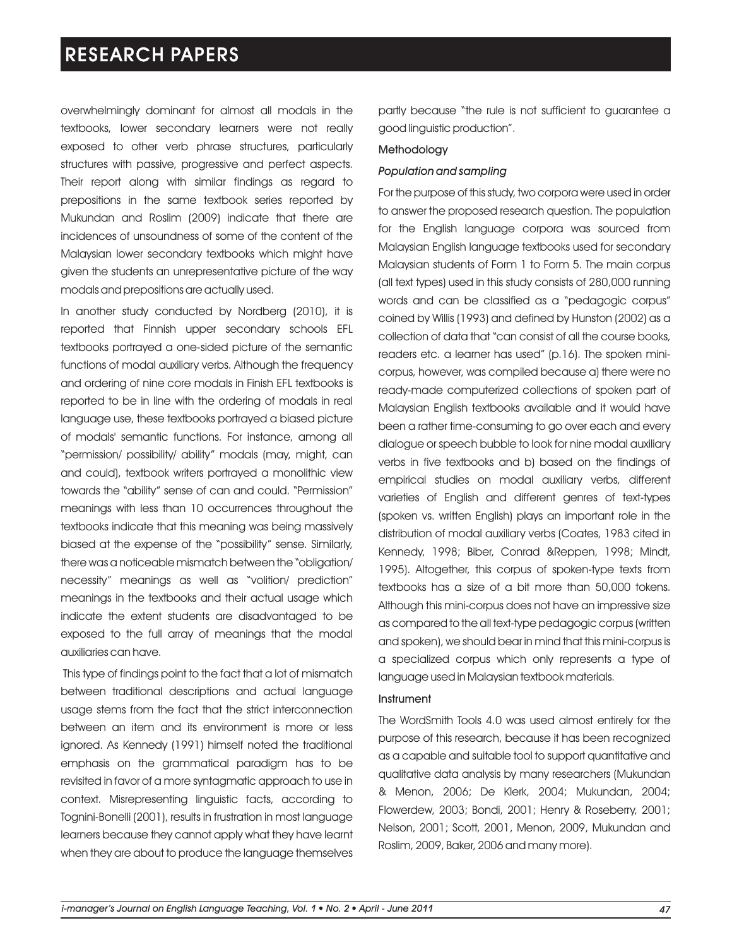overwhelmingly dominant for almost all modals in the textbooks, lower secondary learners were not really exposed to other verb phrase structures, particularly structures with passive, progressive and perfect aspects. Their report along with similar findings as regard to prepositions in the same textbook series reported by Mukundan and Roslim (2009) indicate that there are incidences of unsoundness of some of the content of the Malaysian lower secondary textbooks which might have given the students an unrepresentative picture of the way modals and prepositions are actually used.

In another study conducted by Nordberg (2010), it is reported that Finnish upper secondary schools EFL textbooks portrayed a one-sided picture of the semantic functions of modal auxiliary verbs. Although the frequency and ordering of nine core modals in Finish EFL textbooks is reported to be in line with the ordering of modals in real language use, these textbooks portrayed a biased picture of modals' semantic functions. For instance, among all "permission/ possibility/ ability" modals (may, might, can and could), textbook writers portrayed a monolithic view towards the "ability" sense of can and could. "Permission" meanings with less than 10 occurrences throughout the textbooks indicate that this meaning was being massively biased at the expense of the "possibility" sense. Similarly, there was a noticeable mismatch between the "obligation/ necessity" meanings as well as "volition/ prediction" meanings in the textbooks and their actual usage which indicate the extent students are disadvantaged to be exposed to the full array of meanings that the modal auxiliaries can have.

This type of findings point to the fact that a lot of mismatch between traditional descriptions and actual language usage stems from the fact that the strict interconnection between an item and its environment is more or less ignored. As Kennedy (1991) himself noted the traditional emphasis on the grammatical paradigm has to be revisited in favor of a more syntagmatic approach to use in context. Misrepresenting linguistic facts, according to Tognini-Bonelli (2001), results in frustration in most language learners because they cannot apply what they have learnt when they are about to produce the language themselves partly because "the rule is not sufficient to guarantee a good linguistic production".

#### Methodology

#### *Population and sampling*

For the purpose of this study, two corpora were used in order to answer the proposed research question. The population for the English language corpora was sourced from Malaysian English language textbooks used for secondary Malaysian students of Form 1 to Form 5. The main corpus (all text types) used in this study consists of 280,000 running words and can be classified as a "pedagogic corpus" coined by Willis (1993) and defined by Hunston (2002) as a collection of data that "can consist of all the course books, readers etc. a learner has used" (p.16). The spoken minicorpus, however, was compiled because a) there were no ready-made computerized collections of spoken part of Malaysian English textbooks available and it would have been a rather time-consuming to go over each and every dialogue or speech bubble to look for nine modal auxiliary verbs in five textbooks and b) based on the findings of empirical studies on modal auxiliary verbs, different varieties of English and different genres of text-types (spoken vs. written English) plays an important role in the distribution of modal auxiliary verbs (Coates, 1983 cited in Kennedy, 1998; Biber, Conrad &Reppen, 1998; Mindt, 1995). Altogether, this corpus of spoken-type texts from textbooks has a size of a bit more than 50,000 tokens. Although this mini-corpus does not have an impressive size as compared to the all text-type pedagogic corpus (written and spoken), we should bear in mind that this mini-corpus is a specialized corpus which only represents a type of language used in Malaysian textbook materials.

#### Instrument

The WordSmith Tools 4.0 was used almost entirely for the purpose of this research, because it has been recognized as a capable and suitable tool to support quantitative and qualitative data analysis by many researchers (Mukundan & Menon, 2006; De Klerk, 2004; Mukundan, 2004; Flowerdew, 2003; Bondi, 2001; Henry & Roseberry, 2001; Nelson, 2001; Scott, 2001, Menon, 2009, Mukundan and Roslim, 2009, Baker, 2006 and many more).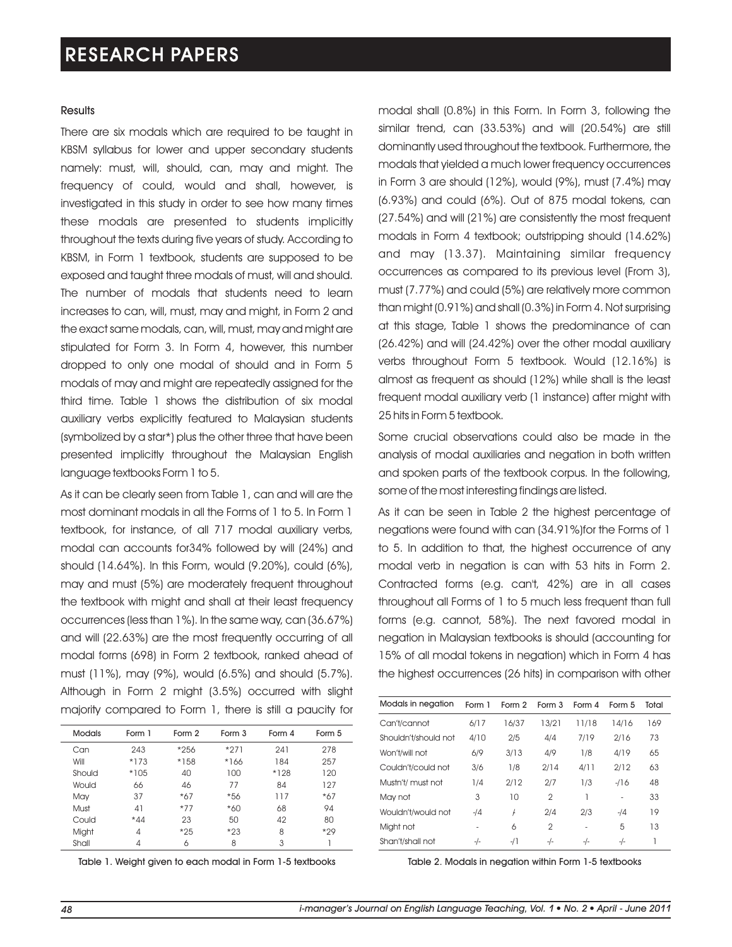#### **Results**

There are six modals which are required to be taught in KBSM syllabus for lower and upper secondary students namely: must, will, should, can, may and might. The frequency of could, would and shall, however, is investigated in this study in order to see how many times these modals are presented to students implicitly throughout the texts during five years of study. According to KBSM, in Form 1 textbook, students are supposed to be exposed and taught three modals of must, will and should. The number of modals that students need to learn increases to can, will, must, may and might, in Form 2 and the exact same modals, can, will, must, may and might are stipulated for Form 3. In Form 4, however, this number dropped to only one modal of should and in Form 5 modals of may and might are repeatedly assigned for the third time. Table 1 shows the distribution of six modal auxiliary verbs explicitly featured to Malaysian students (symbolized by a star\*) plus the other three that have been presented implicitly throughout the Malaysian English language textbooks Form 1 to 5.

As it can be clearly seen from Table 1, can and will are the most dominant modals in all the Forms of 1 to 5. In Form 1 textbook, for instance, of all 717 modal auxiliary verbs, modal can accounts for34% followed by will (24%) and should (14.64%). In this Form, would (9.20%), could (6%), may and must (5%) are moderately frequent throughout the textbook with might and shall at their least frequency occurrences (less than 1%). In the same way, can (36.67%) and will (22.63%) are the most frequently occurring of all modal forms (698) in Form 2 textbook, ranked ahead of must (11%), may (9%), would (6.5%) and should (5.7%). Although in Form 2 might (3.5%) occurred with slight majority compared to Form 1, there is still a paucity for

| <b>Modals</b> | Form 1         | Form 2 | Form 3 | Form 4 | Form 5 |
|---------------|----------------|--------|--------|--------|--------|
| Can           | 243            | *256   | $*271$ | 241    | 278    |
| Will          | $*173$         | *158   | *166   | 184    | 257    |
| Should        | $*105$         | 40     | 100    | $*128$ | 120    |
| Would         | 66             | 46     | 77     | 84     | 127    |
| May           | 37             | $*67$  | *56    | 117    | $*67$  |
| Must          | 41             | $*77$  | *60    | 68     | 94     |
| Could         | $*44$          | 23     | 50     | 42     | 80     |
| Might         | $\overline{4}$ | $*25$  | $*23$  | 8      | *29    |
| Shall         | 4              | 6      | 8      | 3      |        |

Table 1. Weight given to each modal in Form 1-5 textbooks

modal shall (0.8%) in this Form. In Form 3, following the similar trend, can (33.53%) and will (20.54%) are still dominantly used throughout the textbook. Furthermore, the modals that yielded a much lower frequency occurrences in Form 3 are should (12%), would (9%), must (7.4%) may (6.93%) and could (6%). Out of 875 modal tokens, can (27.54%) and will (21%) are consistently the most frequent modals in Form 4 textbook; outstripping should (14.62%) and may (13.37). Maintaining similar frequency occurrences as compared to its previous level (From 3), must (7.77%) and could (5%) are relatively more common than might (0.91%) and shall (0.3%) in Form 4. Not surprising at this stage, Table 1 shows the predominance of can (26.42%) and will (24.42%) over the other modal auxiliary verbs throughout Form 5 textbook. Would (12.16%) is almost as frequent as should (12%) while shall is the least frequent modal auxiliary verb (1 instance) after might with 25 hits in Form 5 textbook.

Some crucial observations could also be made in the analysis of modal auxiliaries and negation in both written and spoken parts of the textbook corpus. In the following, some of the most interesting findings are listed.

As it can be seen in Table 2 the highest percentage of negations were found with can (34.91%)for the Forms of 1 to 5. In addition to that, the highest occurrence of any modal verb in negation is can with 53 hits in Form 2. Contracted forms (e.g. can't, 42%) are in all cases throughout all Forms of 1 to 5 much less frequent than full forms (e.g. cannot, 58%). The next favored modal in negation in Malaysian textbooks is should (accounting for 15% of all modal tokens in negation) which in Form 4 has the highest occurrences (26 hits) in comparison with other

| Modals in negation   | Form 1 | Form 2 | Form 3         | Form 4 | Form 5 | Total |
|----------------------|--------|--------|----------------|--------|--------|-------|
| Can't/cannot         | 6/17   | 16/37  | 13/21          | 11/18  | 14/16  | 169   |
| Shouldn't/should not | 4/10   | 2/5    | 4/4            | 7/19   | 2/16   | 73    |
| Won't/will not       | 6/9    | 3/13   | 4/9            | 1/8    | 4/19   | 65    |
| Couldn't/could not   | 3/6    | 1/8    | 2/14           | 4/11   | 2/12   | 63    |
| Mustn't/ must not    | 1/4    | 2/12   | 2/7            | 1/3    | $-116$ | 48    |
| May not              | 3      | 10     | $\overline{2}$ |        | ٠      | 33    |
| Wouldn't/would not   | $-14$  | f      | 2/4            | 2/3    | $-14$  | 19    |
| Might not            |        | 6      | $\overline{2}$ | ٠      | 5      | 13    |
| Shan't/shall not     | $-/-$  | -/1    | $-/-$          | $-/-$  | $-/-$  | 1     |

Table 2. Modals in negation within Form 1-5 textbooks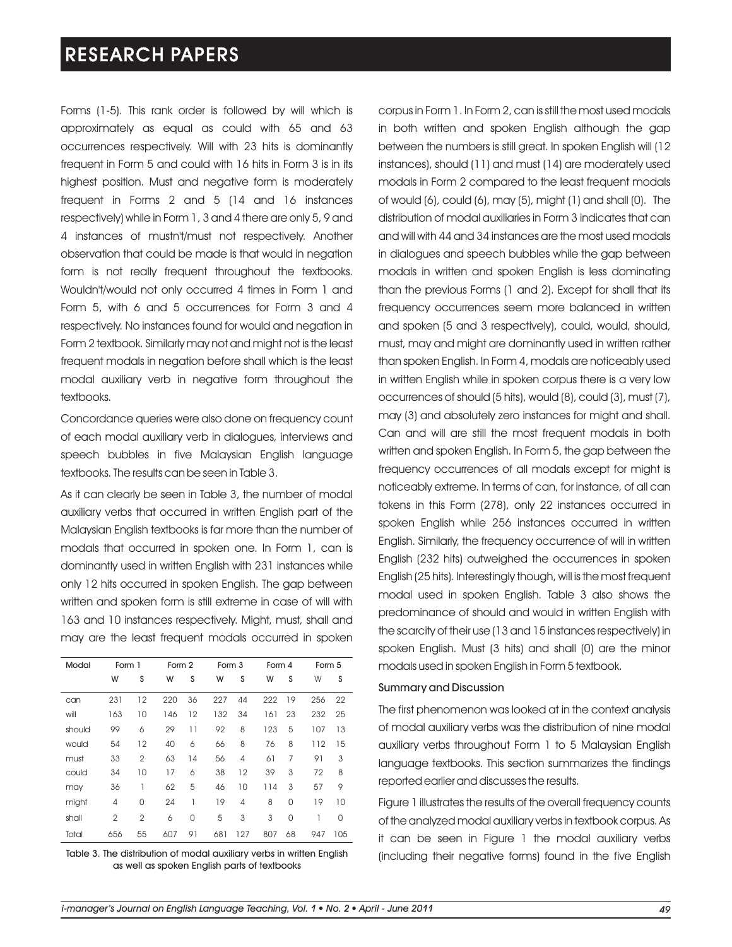Forms (1-5). This rank order is followed by will which is approximately as equal as could with 65 and 63 occurrences respectively. Will with 23 hits is dominantly frequent in Form 5 and could with 16 hits in Form 3 is in its highest position. Must and negative form is moderately frequent in Forms 2 and 5 (14 and 16 instances respectively) while in Form 1, 3 and 4 there are only 5, 9 and 4 instances of mustn't/must not respectively. Another observation that could be made is that would in negation form is not really frequent throughout the textbooks. Wouldn't/would not only occurred 4 times in Form 1 and Form 5, with 6 and 5 occurrences for Form 3 and 4 respectively. No instances found for would and negation in Form 2 textbook. Similarly may not and might not is the least frequent modals in negation before shall which is the least modal auxiliary verb in negative form throughout the textbooks.

Concordance queries were also done on frequency count of each modal auxiliary verb in dialogues, interviews and speech bubbles in five Malaysian English language textbooks. The results can be seen in Table 3.

As it can clearly be seen in Table 3, the number of modal auxiliary verbs that occurred in written English part of the Malaysian English textbooks is far more than the number of modals that occurred in spoken one. In Form 1, can is dominantly used in written English with 231 instances while only 12 hits occurred in spoken English. The gap between written and spoken form is still extreme in case of will with 163 and 10 instances respectively. Might, must, shall and may are the least frequent modals occurred in spoken

| Modal  | Form 1         |                | Form 2 |    | Form 3 |     | Form 4 |          |     | Form 5 |  |
|--------|----------------|----------------|--------|----|--------|-----|--------|----------|-----|--------|--|
|        | W              | S              | W      | S  | W      | S   | W      | S        | W   | S      |  |
| can    | 231            | 12             | 220    | 36 | 227    | 44  | 222    | 19       | 256 | 22     |  |
| will   | 163            | 10             | 146    | 12 | 132    | 34  | 161    | 23       | 232 | 25     |  |
| should | 99             | 6              | 29     | 11 | 92     | 8   | 123    | 5        | 107 | 13     |  |
| would  | 54             | 12             | 40     | 6  | 66     | 8   | 76     | 8        | 112 | 15     |  |
| must   | 33             | $\mathfrak{p}$ | 63     | 14 | 56     | 4   | 61     | 7        | 91  | 3      |  |
| could  | 34             | 10             | 17     | 6  | 38     | 12  | 39     | 3        | 72  | 8      |  |
| may    | 36             | 1              | 62     | 5  | 46     | 10  | 114    | 3        | 57  | 9      |  |
| might  | 4              | $\Omega$       | 24     | 1  | 19     | 4   | 8      | $\Omega$ | 19  | 10     |  |
| shall  | $\overline{2}$ | $\overline{2}$ | 6      | 0  | 5      | 3   | 3      | 0        | 1   | 0      |  |
| Total  | 656            | 55             | 607    | 91 | 681    | 127 | 807    | 68       | 947 | 105    |  |

Table 3. The distribution of modal auxiliary verbs in written English as well as spoken English parts of textbooks

corpus in Form 1. In Form 2, can is still the most used modals in both written and spoken English although the gap between the numbers is still great. In spoken English will (12 instances), should (11) and must (14) are moderately used modals in Form 2 compared to the least frequent modals of would (6), could (6), may (5), might (1) and shall (0). The distribution of modal auxiliaries in Form 3 indicates that can and will with 44 and 34 instances are the most used modals in dialogues and speech bubbles while the gap between modals in written and spoken English is less dominating than the previous Forms (1 and 2). Except for shall that its frequency occurrences seem more balanced in written and spoken (5 and 3 respectively), could, would, should, must, may and might are dominantly used in written rather than spoken English. In Form 4, modals are noticeably used in written English while in spoken corpus there is a very low occurrences of should (5 hits), would (8), could (3), must (7), may (3) and absolutely zero instances for might and shall. Can and will are still the most frequent modals in both written and spoken English. In Form 5, the gap between the frequency occurrences of all modals except for might is noticeably extreme. In terms of can, for instance, of all can tokens in this Form (278), only 22 instances occurred in spoken English while 256 instances occurred in written English. Similarly, the frequency occurrence of will in written English (232 hits) outweighed the occurrences in spoken English (25 hits). Interestingly though, will is the most frequent modal used in spoken English. Table 3 also shows the predominance of should and would in written English with the scarcity of their use (13 and 15 instances respectively) in spoken English. Must (3 hits) and shall (0) are the minor modals used in spoken English in Form 5 textbook.

#### Summary and Discussion

The first phenomenon was looked at in the context analysis of modal auxiliary verbs was the distribution of nine modal auxiliary verbs throughout Form 1 to 5 Malaysian English language textbooks. This section summarizes the findings reported earlier and discusses the results.

Figure 1 illustrates the results of the overall frequency counts of the analyzed modal auxiliary verbs in textbook corpus. As it can be seen in Figure 1 the modal auxiliary verbs (including their negative forms) found in the five English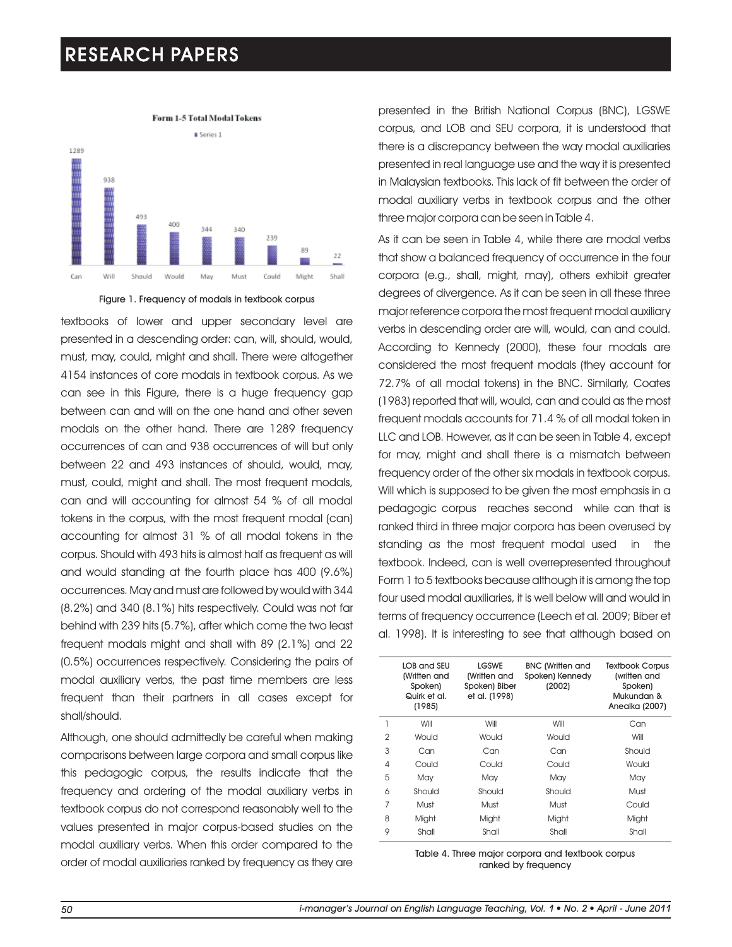

Figure 1. Frequency of modals in textbook corpus

textbooks of lower and upper secondary level are presented in a descending order: can, will, should, would, must, may, could, might and shall. There were altogether 4154 instances of core modals in textbook corpus. As we can see in this Figure, there is a huge frequency gap between can and will on the one hand and other seven modals on the other hand. There are 1289 frequency occurrences of can and 938 occurrences of will but only between 22 and 493 instances of should, would, may, must, could, might and shall. The most frequent modals, can and will accounting for almost 54 % of all modal tokens in the corpus, with the most frequent modal (can) accounting for almost 31 % of all modal tokens in the corpus. Should with 493 hits is almost half as frequent as will and would standing at the fourth place has 400 (9.6%) occurrences. May and must are followed by would with 344 (8.2%) and 340 (8.1%) hits respectively. Could was not far behind with 239 hits (5.7%), after which come the two least frequent modals might and shall with 89 (2.1%) and 22 (0.5%) occurrences respectively. Considering the pairs of modal auxiliary verbs, the past time members are less frequent than their partners in all cases except for shall/should.

Although, one should admittedly be careful when making comparisons between large corpora and small corpus like this pedagogic corpus, the results indicate that the frequency and ordering of the modal auxiliary verbs in textbook corpus do not correspond reasonably well to the values presented in major corpus-based studies on the modal auxiliary verbs. When this order compared to the order of modal auxiliaries ranked by frequency as they are presented in the British National Corpus (BNC), LGSWE corpus, and LOB and SEU corpora, it is understood that there is a discrepancy between the way modal auxiliaries presented in real language use and the way it is presented in Malaysian textbooks. This lack of fit between the order of modal auxiliary verbs in textbook corpus and the other three major corpora can be seen in Table 4.

As it can be seen in Table 4, while there are modal verbs that show a balanced frequency of occurrence in the four corpora (e.g., shall, might, may), others exhibit greater degrees of divergence. As it can be seen in all these three major reference corpora the most frequent modal auxiliary verbs in descending order are will, would, can and could. According to Kennedy (2000), these four modals are considered the most frequent modals (they account for 72.7% of all modal tokens) in the BNC. Similarly, Coates (1983) reported that will, would, can and could as the most frequent modals accounts for 71.4 % of all modal token in LLC and LOB. However, as it can be seen in Table 4, except for may, might and shall there is a mismatch between frequency order of the other six modals in textbook corpus. Will which is supposed to be given the most emphasis in a pedagogic corpus reaches second while can that is ranked third in three major corpora has been overused by standing as the most frequent modal used in the textbook. Indeed, can is well overrepresented throughout Form 1 to 5 textbooks because although it is among the top four used modal auxiliaries, it is well below will and would in terms of frequency occurrence (Leech et al. 2009; Biber et al. 1998). It is interesting to see that although based on

|                | <b>IOB</b> and SFII<br>(Written and<br>Spoken)<br>Quirk et al.<br>(1985) | <b>LGSWE</b><br>(Written and<br>Spoken) Biber<br>et al. (1998) | <b>BNC</b> (Written and<br>Spoken) Kennedy<br>(2002) | <b>Textbook Corpus</b><br>(written and<br>Spoken)<br>Mukundan &<br>Anealka (2007) |
|----------------|--------------------------------------------------------------------------|----------------------------------------------------------------|------------------------------------------------------|-----------------------------------------------------------------------------------|
|                | Will                                                                     | Will                                                           | Will                                                 | Can                                                                               |
| $\overline{2}$ | Would                                                                    | Would                                                          | Would                                                | Will                                                                              |
| 3              | Can                                                                      | Can                                                            | Can                                                  | Should                                                                            |
| 4              | Could                                                                    | Could                                                          | Could                                                | Would                                                                             |
| 5              | May                                                                      | May                                                            | May                                                  | May                                                                               |
| 6              | Should                                                                   | Should                                                         | Should                                               | Must                                                                              |
| 7              | Must                                                                     | Must                                                           | Must                                                 | Could                                                                             |
| 8              | Might                                                                    | Might                                                          | Might                                                | Might                                                                             |
| 9              | Shall                                                                    | Shall                                                          | Shall                                                | Shall                                                                             |

Table 4. Three major corpora and textbook corpus ranked by frequency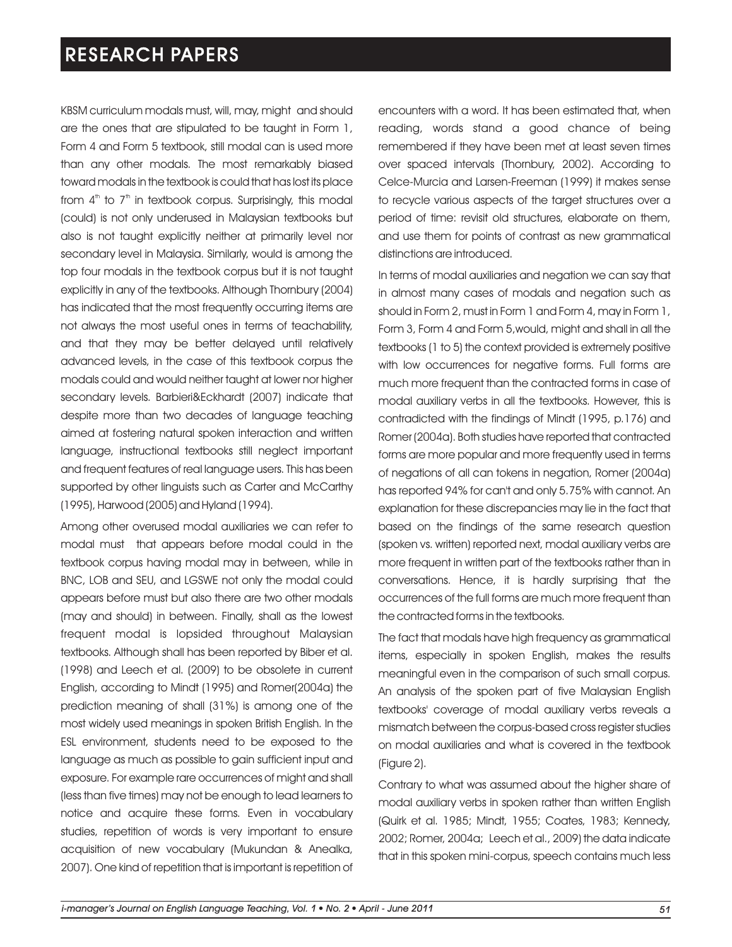KBSM curriculum modals must, will, may, might and should are the ones that are stipulated to be taught in Form 1, Form 4 and Form 5 textbook, still modal can is used more than any other modals. The most remarkably biased toward modals in the textbook is could that has lost its place from  $4<sup>th</sup>$  to  $7<sup>th</sup>$  in textbook corpus. Surprisingly, this modal (could) is not only underused in Malaysian textbooks but also is not taught explicitly neither at primarily level nor secondary level in Malaysia. Similarly, would is among the top four modals in the textbook corpus but it is not taught explicitly in any of the textbooks. Although Thornbury (2004) has indicated that the most frequently occurring items are not always the most useful ones in terms of teachability, and that they may be better delayed until relatively advanced levels, in the case of this textbook corpus the modals could and would neither taught at lower nor higher secondary levels. Barbieri&Eckhardt (2007) indicate that despite more than two decades of language teaching aimed at fostering natural spoken interaction and written language, instructional textbooks still neglect important and frequent features of real language users. This has been supported by other linguists such as Carter and McCarthy (1995), Harwood (2005) and Hyland (1994).

Among other overused modal auxiliaries we can refer to modal must that appears before modal could in the textbook corpus having modal may in between, while in BNC, LOB and SEU, and LGSWE not only the modal could appears before must but also there are two other modals (may and should) in between. Finally, shall as the lowest frequent modal is lopsided throughout Malaysian textbooks. Although shall has been reported by Biber et al. (1998) and Leech et al. (2009) to be obsolete in current English, according to Mindt (1995) and Romer(2004a) the prediction meaning of shall (31%) is among one of the most widely used meanings in spoken British English. In the ESL environment, students need to be exposed to the language as much as possible to gain sufficient input and exposure. For example rare occurrences of might and shall (less than five times) may not be enough to lead learners to notice and acquire these forms. Even in vocabulary studies, repetition of words is very important to ensure acquisition of new vocabulary (Mukundan & Anealka, 2007). One kind of repetition that is important is repetition of

encounters with a word. It has been estimated that, when reading, words stand a good chance of being remembered if they have been met at least seven times over spaced intervals (Thornbury, 2002). According to Celce-Murcia and Larsen-Freeman (1999) it makes sense to recycle various aspects of the target structures over a period of time: revisit old structures, elaborate on them, and use them for points of contrast as new grammatical distinctions are introduced.

In terms of modal auxiliaries and negation we can say that in almost many cases of modals and negation such as should in Form 2, must in Form 1 and Form 4, may in Form 1, Form 3, Form 4 and Form 5,would, might and shall in all the textbooks (1 to 5) the context provided is extremely positive with low occurrences for negative forms. Full forms are much more frequent than the contracted forms in case of modal auxiliary verbs in all the textbooks. However, this is contradicted with the findings of Mindt (1995, p.176) and Romer (2004a). Both studies have reported that contracted forms are more popular and more frequently used in terms of negations of all can tokens in negation, Romer (2004a) has reported 94% for can't and only 5.75% with cannot. An explanation for these discrepancies may lie in the fact that based on the findings of the same research question (spoken vs. written) reported next, modal auxiliary verbs are more frequent in written part of the textbooks rather than in conversations. Hence, it is hardly surprising that the occurrences of the full forms are much more frequent than the contracted forms in the textbooks.

The fact that modals have high frequency as grammatical items, especially in spoken English, makes the results meaningful even in the comparison of such small corpus. An analysis of the spoken part of five Malaysian English textbooks' coverage of modal auxiliary verbs reveals a mismatch between the corpus-based cross register studies on modal auxiliaries and what is covered in the textbook (Figure 2).

Contrary to what was assumed about the higher share of modal auxiliary verbs in spoken rather than written English (Quirk et al. 1985; Mindt, 1955; Coates, 1983; Kennedy, 2002; Romer, 2004a; Leech et al., 2009) the data indicate that in this spoken mini-corpus, speech contains much less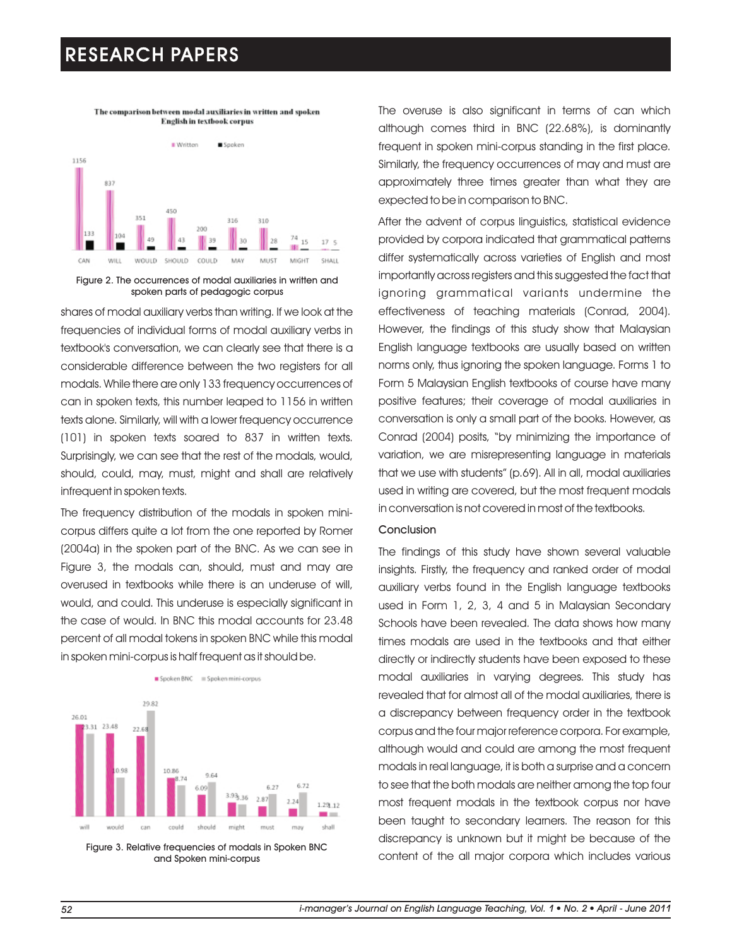The comparison between modal auxiliaries in written and spoken **English in textbook corpus** 



Figure 2. The occurrences of modal auxiliaries in written and spoken parts of pedagogic corpus

shares of modal auxiliary verbs than writing. If we look at the frequencies of individual forms of modal auxiliary verbs in textbook's conversation, we can clearly see that there is a considerable difference between the two registers for all modals. While there are only 133 frequency occurrences of can in spoken texts, this number leaped to 1156 in written texts alone. Similarly, will with a lower frequency occurrence (101) in spoken texts soared to 837 in written texts. Surprisingly, we can see that the rest of the modals, would, should, could, may, must, might and shall are relatively infrequent in spoken texts.

The frequency distribution of the modals in spoken minicorpus differs quite a lot from the one reported by Romer (2004a) in the spoken part of the BNC. As we can see in Figure 3, the modals can, should, must and may are overused in textbooks while there is an underuse of will, would, and could. This underuse is especially significant in the case of would. In BNC this modal accounts for 23.48 percent of all modal tokens in spoken BNC while this modal in spoken mini-corpus is half frequent as it should be.



Figure 3. Relative frequencies of modals in Spoken BNC and Spoken mini-corpus

The overuse is also significant in terms of can which although comes third in BNC (22.68%), is dominantly frequent in spoken mini-corpus standing in the first place. Similarly, the frequency occurrences of may and must are approximately three times greater than what they are expected to be in comparison to BNC.

After the advent of corpus linguistics, statistical evidence provided by corpora indicated that grammatical patterns differ systematically across varieties of English and most importantly across registers and this suggested the fact that ignoring grammatical variants undermine the effectiveness of teaching materials (Conrad, 2004). However, the findings of this study show that Malaysian English language textbooks are usually based on written norms only, thus ignoring the spoken language. Forms 1 to Form 5 Malaysian English textbooks of course have many positive features; their coverage of modal auxiliaries in conversation is only a small part of the books. However, as Conrad (2004) posits, "by minimizing the importance of variation, we are misrepresenting language in materials that we use with students" (p.69). All in all, modal auxiliaries used in writing are covered, but the most frequent modals in conversation is not covered in most of the textbooks.

#### Conclusion

The findings of this study have shown several valuable insights. Firstly, the frequency and ranked order of modal auxiliary verbs found in the English language textbooks used in Form 1, 2, 3, 4 and 5 in Malaysian Secondary Schools have been revealed. The data shows how many times modals are used in the textbooks and that either directly or indirectly students have been exposed to these modal auxiliaries in varying degrees. This study has revealed that for almost all of the modal auxiliaries, there is a discrepancy between frequency order in the textbook corpus and the four major reference corpora. For example, although would and could are among the most frequent modals in real language, it is both a surprise and a concern to see that the both modals are neither among the top four most frequent modals in the textbook corpus nor have been taught to secondary learners. The reason for this discrepancy is unknown but it might be because of the content of the all major corpora which includes various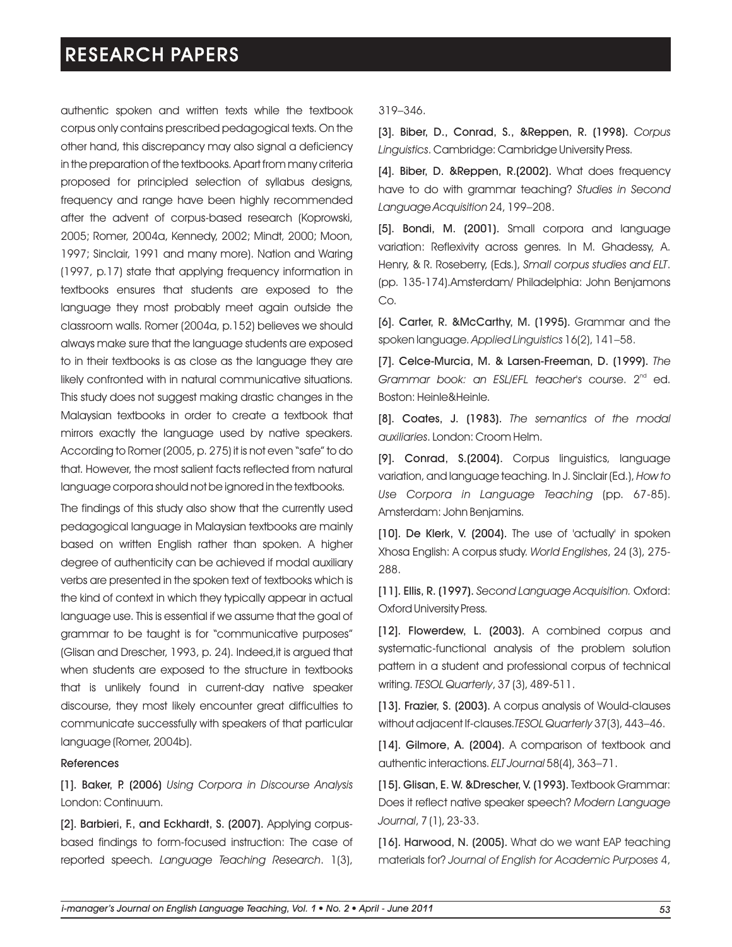authentic spoken and written texts while the textbook corpus only contains prescribed pedagogical texts. On the other hand, this discrepancy may also signal a deficiency in the preparation of the textbooks. Apart from many criteria proposed for principled selection of syllabus designs, frequency and range have been highly recommended after the advent of corpus-based research (Koprowski, 2005; Romer, 2004a, Kennedy, 2002; Mindt, 2000; Moon, 1997; Sinclair, 1991 and many more). Nation and Waring (1997, p.17) state that applying frequency information in textbooks ensures that students are exposed to the language they most probably meet again outside the classroom walls. Romer (2004a, p.152) believes we should always make sure that the language students are exposed to in their textbooks is as close as the language they are likely confronted with in natural communicative situations. This study does not suggest making drastic changes in the Malaysian textbooks in order to create a textbook that mirrors exactly the language used by native speakers. According to Romer (2005, p. 275) it is not even "safe" to do that. However, the most salient facts reflected from natural language corpora should not be ignored in the textbooks.

The findings of this study also show that the currently used pedagogical language in Malaysian textbooks are mainly based on written English rather than spoken. A higher degree of authenticity can be achieved if modal auxiliary verbs are presented in the spoken text of textbooks which is the kind of context in which they typically appear in actual language use. This is essential if we assume that the goal of grammar to be taught is for "communicative purposes" (Glisan and Drescher, 1993, p. 24). Indeed,it is argued that when students are exposed to the structure in textbooks that is unlikely found in current-day native speaker discourse, they most likely encounter great difficulties to communicate successfully with speakers of that particular language (Romer, 2004b).

#### References

[1]. Baker, P. (2006) *Using Corpora in Discourse Analysis* London: Continuum.

[2]. Barbieri, F., and Eckhardt, S. (2007). Applying corpusbased findings to form-focused instruction: The case of reported speech. *Language Teaching Research*. 1(3),

#### 319–346.

[3]. Biber, D., Conrad, S., &Reppen, R. (1998). *Corpus Linguistics*. Cambridge: Cambridge University Press.

[4]. Biber, D. &Reppen, R.(2002). What does frequency have to do with grammar teaching? *Studies in Second Language Acquisition* 24, 199–208.

[5]. Bondi, M. (2001). Small corpora and language variation: Reflexivity across genres. In M. Ghadessy, A. Henry, & R. Roseberry, (Eds.), *Small corpus studies and ELT*. (pp. 135-174).Amsterdam/ Philadelphia: John Benjamons Co.

[6]. Carter, R. &McCarthy, M. (1995). Grammar and the spoken language. *Applied Linguistics* 16(2), 141–58.

[7]. Celce-Murcia, M. & Larsen-Freeman, D. (1999). *The*  Grammar book: an ESL/EFL teacher's course. 2<sup>nd</sup> ed. Boston: Heinle&Heinle.

[8]. Coates, J. (1983). *The semantics of the modal auxiliaries*. London: Croom Helm.

[9]. Conrad, S.(2004). Corpus linguistics, language variation, and language teaching. In J. Sinclair (Ed.), *How to Use Corpora in Language Teaching* (pp. 67-85). Amsterdam: John Benjamins.

[10]. De Klerk, V. (2004). The use of 'actually' in spoken Xhosa English: A corpus study. *World Englishes*, 24 (3), 275- 288.

[11]. Ellis, R. (1997). *Second Language Acquisition.* Oxford: Oxford University Press.

[12]. Flowerdew, L. (2003). A combined corpus and systematic-functional analysis of the problem solution pattern in a student and professional corpus of technical writing. *TESOL Quarterly*, 37 (3), 489-511.

[13]. Frazier, S. (2003). A corpus analysis of Would-clauses without adjacent If-clauses.*TESOL Quarterly* 37(3), 443–46.

[14]. Gilmore, A. (2004). A comparison of textbook and authentic interactions. *ELT Journal* 58(4), 363–71.

[15]. Glisan, E. W. &Drescher, V. (1993). Textbook Grammar: Does it reflect native speaker speech? *Modern Language Journal*, 7 (1), 23-33.

[16]. Harwood, N. (2005). What do we want EAP teaching materials for? *Journal of English for Academic Purposes* 4,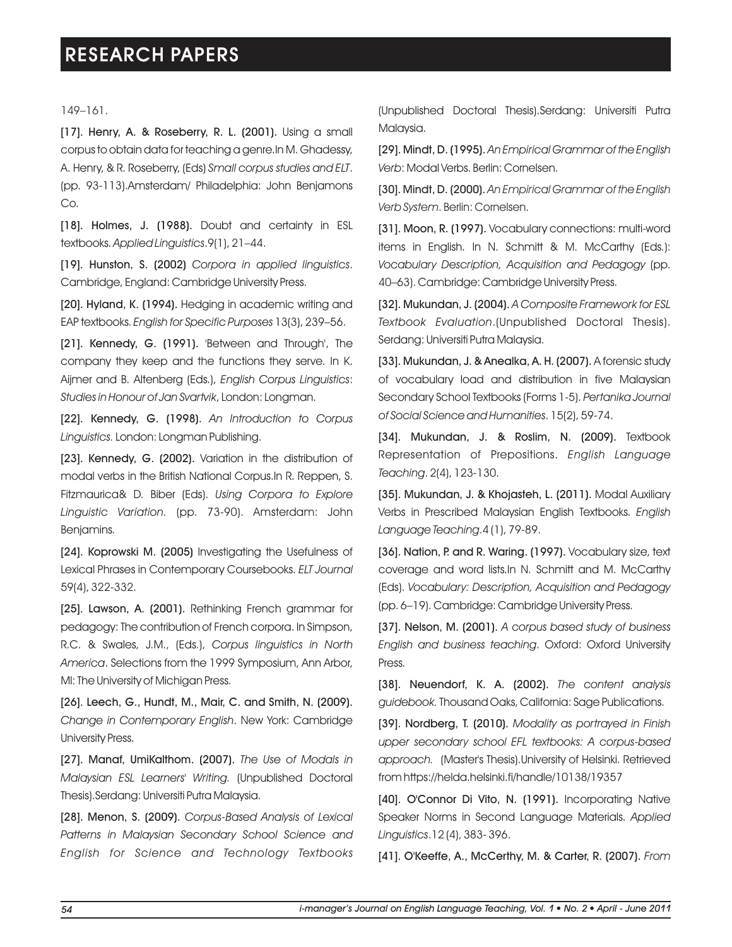149–161.

[17]. Henry, A. & Roseberry, R. L. (2001). Using a small corpus to obtain data for teaching a genre.In M. Ghadessy, A. Henry, & R. Roseberry, (Eds) *Small corpus studies and ELT*. (pp. 93-113).Amsterdam/ Philadelphia: John Benjamons Co.

[18]. Holmes, J. (1988). Doubt and certainty in ESL textbooks. *Applied Linguistics*.9(1), 21–44.

[19]. Hunston, S. (2002) *Corpora in applied linguistics*. Cambridge, England: Cambridge University Press.

[20]. Hyland, K. (1994). Hedging in academic writing and EAP textbooks. *English for Specific Purposes* 13(3), 239–56.

[21]. Kennedy, G. (1991). 'Between and Through', The company they keep and the functions they serve. In K. Aijmer and B. Altenberg (Eds.), *English Corpus Linguistics*: *Studies in Honour of Jan Svartvik*, London: Longman.

[22]. Kennedy, G. (1998). *An Introduction to Corpus Linguistics.* London: Longman Publishing.

[23]. Kennedy, G. (2002). Variation in the distribution of modal verbs in the British National Corpus.In R. Reppen, S. Fitzmaurica& D. Biber (Eds). *Using Corpora to Explore Linguistic Variation.* (pp. 73-90). Amsterdam: John Benjamins.

[24]. Koprowski M. (2005) Investigating the Usefulness of Lexical Phrases in Contemporary Coursebooks. *ELT Journal* 59(4), 322-332.

[25]. Lawson, A. (2001). Rethinking French grammar for pedagogy: The contribution of French corpora. In Simpson, R.C. & Swales, J.M., (Eds.), *Corpus linguistics in North America*. Selections from the 1999 Symposium, Ann Arbor, MI: The University of Michigan Press.

[26]. Leech, G., Hundt, M., Mair, C. and Smith, N. (2009). *Change in Contemporary English*. New York: Cambridge University Press.

[27]. Manaf, UmiKalthom. (2007). *The Use of Modals in Malaysian ESL Learners' Writing.* (Unpublished Doctoral Thesis).Serdang: Universiti Putra Malaysia.

[28]. Menon, S. (2009). *Corpus-Based Analysis of Lexical Patterns in Malaysian Secondary School Science and English for Science and Technology Textbooks*

(Unpublished Doctoral Thesis).Serdang: Universiti Putra Malaysia.

[29]. Mindt, D. (1995). *An Empirical Grammar of the English Verb*: Modal Verbs. Berlin: Cornelsen.

[30]. Mindt, D. (2000). *An Empirical Grammar of the English Verb System*. Berlin: Cornelsen.

[31]. Moon, R. (1997). Vocabulary connections: multi-word items in English. In N. Schmitt & M. McCarthy (Eds.): *Vocabulary Description, Acquisition and Pedagogy* (pp. 40–63). Cambridge: Cambridge University Press.

[32]. Mukundan, J. (2004). *A Composite Framework for ESL Textbook Evaluation*.(Unpublished Doctoral Thesis). Serdang: Universiti Putra Malaysia.

[33]. Mukundan, J. & Anealka, A. H. (2007). A forensic study of vocabulary load and distribution in five Malaysian Secondary School Textbooks (Forms 1-5). *Pertanika Journal of Social Science and Humanities*. 15(2), 59-74.

[34]. Mukundan, J. & Roslim, N. (2009). Textbook Representation of Prepositions. *English Language Teaching*. 2(4), 123-130.

[35]. Mukundan, J. & Khojasteh, L. (2011). Modal Auxiliary Verbs in Prescribed Malaysian English Textbooks. *English Language Teaching*.4 (1), 79-89.

[36]. Nation, P. and R. Waring. (1997). Vocabulary size, text coverage and word lists.In N. Schmitt and M. McCarthy (Eds). *Vocabulary: Description, Acquisition and Pedagogy* (pp. 6–19). Cambridge: Cambridge University Press.

[37]. Nelson, M. (2001). *A corpus based study of business English and business teaching*. Oxford: Oxford University Press.

[38]. Neuendorf, K. A. (2002). *The content analysis guidebook.* Thousand Oaks, California: Sage Publications.

[39]. Nordberg, T. (2010). *Modality as portrayed in Finish upper secondary school EFL textbooks: A corpus-based approach.* (Master's Thesis).University of Helsinki. Retrieved from https://helda.helsinki.fi/handle/10138/19357

[40]. O'Connor Di Vito, N. (1991). Incorporating Native Speaker Norms in Second Language Materials. *Applied Linguistics*.12 (4), 383- 396.

[41]. O'Keeffe, A., McCerthy, M. & Carter, R. (2007). *From*